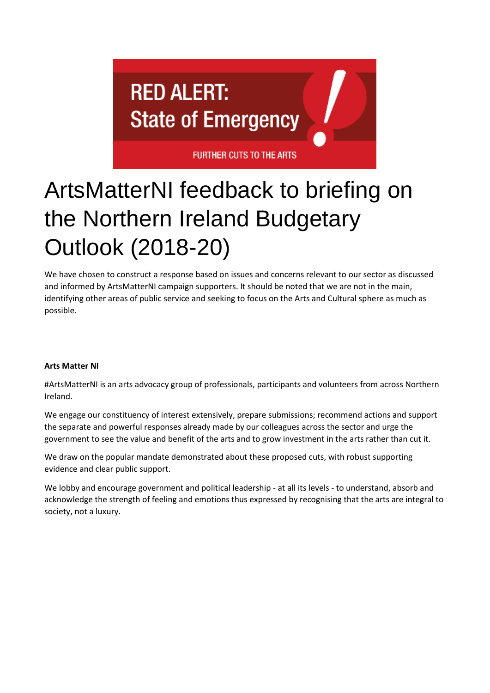

# ArtsMatterNI feedback to briefing on the Northern Ireland Budgetary Outlook (2018-20)

We have chosen to construct a response based on issues and concerns relevant to our sector as discussed and informed by ArtsMatterNI campaign supporters. It should be noted that we are not in the main, identifying other areas of public service and seeking to focus on the Arts and Cultural sphere as much as possible.

## **Arts Matter NI**

#ArtsMatterNI is an arts advocacy group of professionals, participants and volunteers from across Northern Ireland.

We engage our constituency of interest extensively, prepare submissions; recommend actions and support the separate and powerful responses already made by our colleagues across the sector and urge the government to see the value and benefit of the arts and to grow investment in the arts rather than cut it.

We draw on the popular mandate demonstrated about these proposed cuts, with robust supporting evidence and clear public support.

We lobby and encourage government and political leadership - at all its levels - to understand, absorb and acknowledge the strength of feeling and emotions thus expressed by recognising that the arts are integral to society, not a luxury.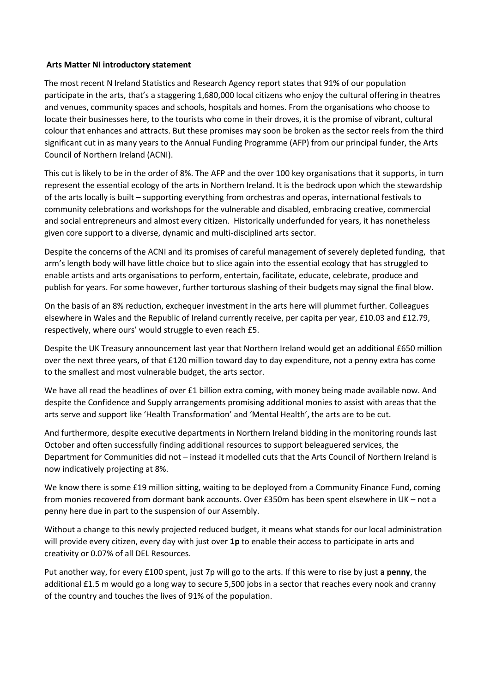#### **Arts Matter NI introductory statement**

The most recent N Ireland Statistics and Research Agency report states that 91% of our population participate in the arts, that's a staggering 1,680,000 local citizens who enjoy the cultural offering in theatres and venues, community spaces and schools, hospitals and homes. From the organisations who choose to locate their businesses here, to the tourists who come in their droves, it is the promise of vibrant, cultural colour that enhances and attracts. But these promises may soon be broken as the sector reels from the third significant cut in as many years to the Annual Funding Programme (AFP) from our principal funder, the Arts Council of Northern Ireland (ACNI).

This cut is likely to be in the order of 8%. The AFP and the over 100 key organisations that it supports, in turn represent the essential ecology of the arts in Northern Ireland. It is the bedrock upon which the stewardship of the arts locally is built – supporting everything from orchestras and operas, international festivals to community celebrations and workshops for the vulnerable and disabled, embracing creative, commercial and social entrepreneurs and almost every citizen. Historically underfunded for years, it has nonetheless given core support to a diverse, dynamic and multi-disciplined arts sector.

Despite the concerns of the ACNI and its promises of careful management of severely depleted funding, that arm's length body will have little choice but to slice again into the essential ecology that has struggled to enable artists and arts organisations to perform, entertain, facilitate, educate, celebrate, produce and publish for years. For some however, further torturous slashing of their budgets may signal the final blow.

On the basis of an 8% reduction, exchequer investment in the arts here will plummet further. Colleagues elsewhere in Wales and the Republic of Ireland currently receive, per capita per year, £10.03 and £12.79, respectively, where ours' would struggle to even reach £5.

Despite the UK Treasury announcement last year that Northern Ireland would get an additional £650 million over the next three years, of that £120 million toward day to day expenditure, not a penny extra has come to the smallest and most vulnerable budget, the arts sector.

We have all read the headlines of over £1 billion extra coming, with money being made available now. And despite the Confidence and Supply arrangements promising additional monies to assist with areas that the arts serve and support like 'Health Transformation' and 'Mental Health', the arts are to be cut.

And furthermore, despite executive departments in Northern Ireland bidding in the monitoring rounds last October and often successfully finding additional resources to support beleaguered services, the Department for Communities did not – instead it modelled cuts that the Arts Council of Northern Ireland is now indicatively projecting at 8%.

We know there is some £19 million sitting, waiting to be deployed from a Community Finance Fund, coming from monies recovered from dormant bank accounts. Over £350m has been spent elsewhere in UK – not a penny here due in part to the suspension of our Assembly.

Without a change to this newly projected reduced budget, it means what stands for our local administration will provide every citizen, every day with just over **1p** to enable their access to participate in arts and creativity or 0.07% of all DEL Resources.

Put another way, for every £100 spent, just 7p will go to the arts. If this were to rise by just **a penny**, the additional £1.5 m would go a long way to secure 5,500 jobs in a sector that reaches every nook and cranny of the country and touches the lives of 91% of the population.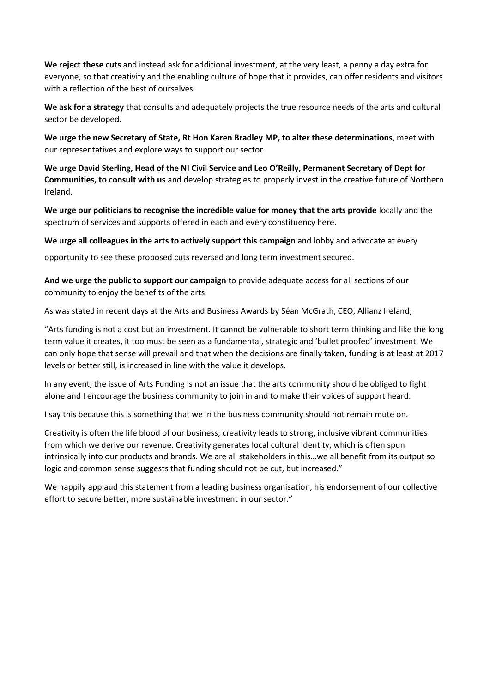**We reject these cuts** and instead ask for additional investment, at the very least, a penny a day extra for everyone, so that creativity and the enabling culture of hope that it provides, can offer residents and visitors with a reflection of the best of ourselves.

**We ask for a strategy** that consults and adequately projects the true resource needs of the arts and cultural sector be developed.

**We urge the new Secretary of State, Rt Hon Karen Bradley MP, to alter these determinations**, meet with our representatives and explore ways to support our sector.

**We urge David Sterling, Head of the NI Civil Service and Leo O'Reilly, Permanent Secretary of Dept for Communities, to consult with us** and develop strategies to properly invest in the creative future of Northern Ireland.

**We urge our politicians to recognise the incredible value for money that the arts provide** locally and the spectrum of services and supports offered in each and every constituency here.

**We urge all colleagues in the arts to actively support this campaign** and lobby and advocate at every

opportunity to see these proposed cuts reversed and long term investment secured.

**And we urge the public to support our campaign** to provide adequate access for all sections of our community to enjoy the benefits of the arts.

As was stated in recent days at the Arts and Business Awards by Séan McGrath, CEO, Allianz Ireland;

"Arts funding is not a cost but an investment. It cannot be vulnerable to short term thinking and like the long term value it creates, it too must be seen as a fundamental, strategic and 'bullet proofed' investment. We can only hope that sense will prevail and that when the decisions are finally taken, funding is at least at 2017 levels or better still, is increased in line with the value it develops.

In any event, the issue of Arts Funding is not an issue that the arts community should be obliged to fight alone and I encourage the business community to join in and to make their voices of support heard.

I say this because this is something that we in the business community should not remain mute on.

Creativity is often the life blood of our business; creativity leads to strong, inclusive vibrant communities from which we derive our revenue. Creativity generates local cultural identity, which is often spun intrinsically into our products and brands. We are all stakeholders in this…we all benefit from its output so logic and common sense suggests that funding should not be cut, but increased."

We happily applaud this statement from a leading business organisation, his endorsement of our collective effort to secure better, more sustainable investment in our sector."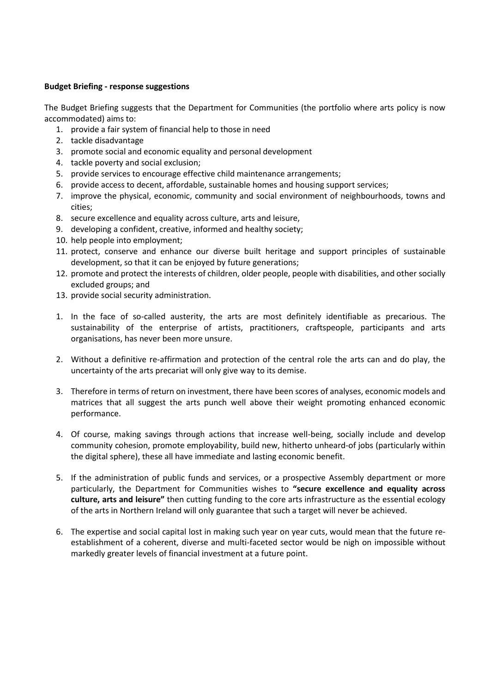### **Budget Briefing - response suggestions**

The Budget Briefing suggests that the Department for Communities (the portfolio where arts policy is now accommodated) aims to:

- 1. provide a fair system of financial help to those in need
- 2. tackle disadvantage
- 3. promote social and economic equality and personal development
- 4. tackle poverty and social exclusion;
- 5. provide services to encourage effective child maintenance arrangements;
- 6. provide access to decent, affordable, sustainable homes and housing support services;
- 7. improve the physical, economic, community and social environment of neighbourhoods, towns and cities;
- 8. secure excellence and equality across culture, arts and leisure,
- 9. developing a confident, creative, informed and healthy society;
- 10. help people into employment;
- 11. protect, conserve and enhance our diverse built heritage and support principles of sustainable development, so that it can be enjoyed by future generations;
- 12. promote and protect the interests of children, older people, people with disabilities, and other socially excluded groups; and
- 13. provide social security administration.
- 1. In the face of so-called austerity, the arts are most definitely identifiable as precarious. The sustainability of the enterprise of artists, practitioners, craftspeople, participants and arts organisations, has never been more unsure.
- 2. Without a definitive re-affirmation and protection of the central role the arts can and do play, the uncertainty of the arts precariat will only give way to its demise.
- 3. Therefore in terms of return on investment, there have been scores of analyses, economic models and matrices that all suggest the arts punch well above their weight promoting enhanced economic performance.
- 4. Of course, making savings through actions that increase well-being, socially include and develop community cohesion, promote employability, build new, hitherto unheard-of jobs (particularly within the digital sphere), these all have immediate and lasting economic benefit.
- 5. If the administration of public funds and services, or a prospective Assembly department or more particularly, the Department for Communities wishes to **"secure excellence and equality across culture, arts and leisure"** then cutting funding to the core arts infrastructure as the essential ecology of the arts in Northern Ireland will only guarantee that such a target will never be achieved.
- 6. The expertise and social capital lost in making such year on year cuts, would mean that the future reestablishment of a coherent, diverse and multi-faceted sector would be nigh on impossible without markedly greater levels of financial investment at a future point.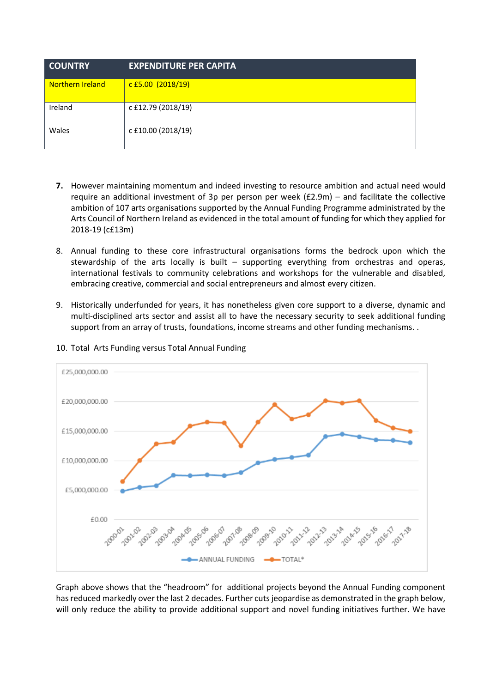| <b>COUNTRY</b>          | <b>EXPENDITURE PER CAPITA</b> |
|-------------------------|-------------------------------|
| <b>Northern Ireland</b> | $c$ £5.00 (2018/19)           |
| Ireland                 | c £12.79 (2018/19)            |
| Wales                   | c £10.00 (2018/19)            |

- **7.** However maintaining momentum and indeed investing to resource ambition and actual need would require an additional investment of 3p per person per week (£2.9m) – and facilitate the collective ambition of 107 arts organisations supported by the Annual Funding Programme administrated by the Arts Council of Northern Ireland as evidenced in the total amount of funding for which they applied for 2018-19 (c£13m)
- 8. Annual funding to these core infrastructural organisations forms the bedrock upon which the stewardship of the arts locally is built – supporting everything from orchestras and operas, international festivals to community celebrations and workshops for the vulnerable and disabled, embracing creative, commercial and social entrepreneurs and almost every citizen.
- 9. Historically underfunded for years, it has nonetheless given core support to a diverse, dynamic and multi-disciplined arts sector and assist all to have the necessary security to seek additional funding support from an array of trusts, foundations, income streams and other funding mechanisms. .



10. Total Arts Funding versus Total Annual Funding

Graph above shows that the "headroom" for additional projects beyond the Annual Funding component has reduced markedly over the last 2 decades. Further cuts jeopardise as demonstrated in the graph below, will only reduce the ability to provide additional support and novel funding initiatives further. We have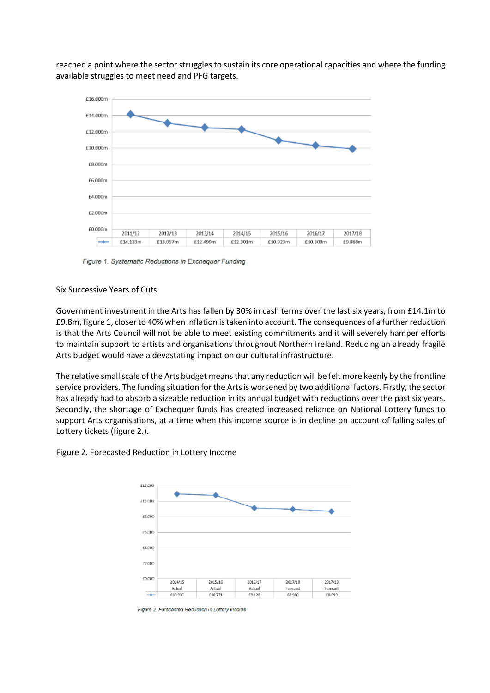reached a point where the sector struggles to sustain its core operational capacities and where the funding available struggles to meet need and PFG targets.



Figure 1. Systematic Reductions in Exchequer Funding

## Six Successive Years of Cuts

Government investment in the Arts has fallen by 30% in cash terms over the last six years, from £14.1m to £9.8m, figure 1, closer to 40% when inflation is taken into account. The consequences of a further reduction is that the Arts Council will not be able to meet existing commitments and it will severely hamper efforts to maintain support to artists and organisations throughout Northern Ireland. Reducing an already fragile Arts budget would have a devastating impact on our cultural infrastructure.

The relative small scale of the Arts budget means that any reduction will be felt more keenly by the frontline service providers. The funding situation for the Arts is worsened by two additional factors. Firstly, the sector has already had to absorb a sizeable reduction in its annual budget with reductions over the past six years. Secondly, the shortage of Exchequer funds has created increased reliance on National Lottery funds to support Arts organisations, at a time when this income source is in decline on account of falling sales of Lottery tickets (figure 2.).



Figure 2. Forecasted Reduction in Lottery Income

Figure 2, Forecasted Reduction in Lottery Income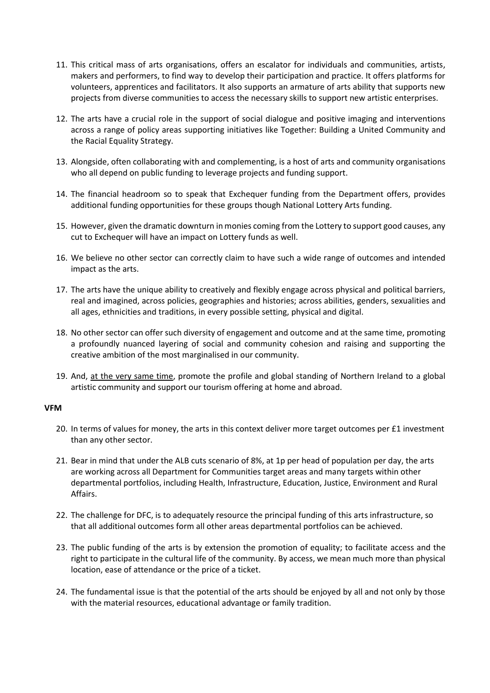- 11. This critical mass of arts organisations, offers an escalator for individuals and communities, artists, makers and performers, to find way to develop their participation and practice. It offers platforms for volunteers, apprentices and facilitators. It also supports an armature of arts ability that supports new projects from diverse communities to access the necessary skills to support new artistic enterprises.
- 12. The arts have a crucial role in the support of social dialogue and positive imaging and interventions across a range of policy areas supporting initiatives like Together: Building a United Community and the Racial Equality Strategy.
- 13. Alongside, often collaborating with and complementing, is a host of arts and community organisations who all depend on public funding to leverage projects and funding support.
- 14. The financial headroom so to speak that Exchequer funding from the Department offers, provides additional funding opportunities for these groups though National Lottery Arts funding.
- 15. However, given the dramatic downturn in monies coming from the Lottery to support good causes, any cut to Exchequer will have an impact on Lottery funds as well.
- 16. We believe no other sector can correctly claim to have such a wide range of outcomes and intended impact as the arts.
- 17. The arts have the unique ability to creatively and flexibly engage across physical and political barriers, real and imagined, across policies, geographies and histories; across abilities, genders, sexualities and all ages, ethnicities and traditions, in every possible setting, physical and digital.
- 18. No other sector can offer such diversity of engagement and outcome and at the same time, promoting a profoundly nuanced layering of social and community cohesion and raising and supporting the creative ambition of the most marginalised in our community.
- 19. And, at the very same time, promote the profile and global standing of Northern Ireland to a global artistic community and support our tourism offering at home and abroad.

#### **VFM**

- 20. In terms of values for money, the arts in this context deliver more target outcomes per £1 investment than any other sector.
- 21. Bear in mind that under the ALB cuts scenario of 8%, at 1p per head of population per day, the arts are working across all Department for Communities target areas and many targets within other departmental portfolios, including Health, Infrastructure, Education, Justice, Environment and Rural Affairs.
- 22. The challenge for DFC, is to adequately resource the principal funding of this arts infrastructure, so that all additional outcomes form all other areas departmental portfolios can be achieved.
- 23. The public funding of the arts is by extension the promotion of equality; to facilitate access and the right to participate in the cultural life of the community. By access, we mean much more than physical location, ease of attendance or the price of a ticket.
- 24. The fundamental issue is that the potential of the arts should be enjoyed by all and not only by those with the material resources, educational advantage or family tradition.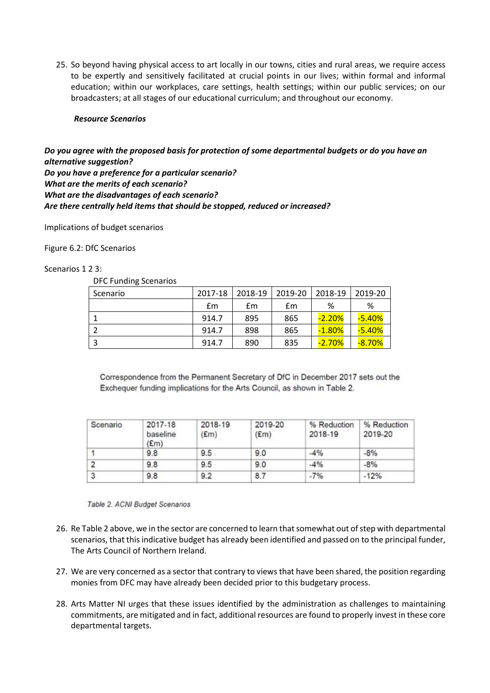25. So beyond having physical access to art locally in our towns, cities and rural areas, we require access to be expertly and sensitively facilitated at crucial points in our lives; within formal and informal education; within our workplaces, care settings, health settings; within our public services; on our broadcasters; at all stages of our educational curriculum; and throughout our economy.

#### *Resource Scenarios*

*Do you agree with the proposed basis for protection of some departmental budgets or do you have an alternative suggestion? Do you have a preference for a particular scenario? What are the merits of each scenario? What are the disadvantages of each scenario? Are there centrally held items that should be stopped, reduced or increased?*

Implications of budget scenarios

Figure 6.2: DfC Scenarios

#### Scenarios 1 2 3:

DFC Funding Scenarios

| ັ<br>Scenario | 2017-18 | 2018-19 | 2019-20 | 2018-19   | 2019-20  |
|---------------|---------|---------|---------|-----------|----------|
|               | £m      | £m      | £m      | %         | %        |
|               | 914.7   | 895     | 865     | $-2.20%$  | $-5.40%$ |
|               | 914.7   | 898     | 865     | $-1.80\%$ | $-5.40%$ |
|               | 914.7   | 890     | 835     | $-2.70%$  | $-8.70%$ |

Correspondence from the Permanent Secretary of DfC in December 2017 sets out the Exchequer funding implications for the Arts Council, as shown in Table 2.

| Scenario | 2017-18<br>baseline<br>E(m) | 2018-19<br>(£m) | 2019-20<br>E(m) | % Reduction<br>2018-19 | % Reduction<br>2019-20 |
|----------|-----------------------------|-----------------|-----------------|------------------------|------------------------|
|          | 9.8                         | 9.5             | 9.0             | $-4%$                  | $-8%$                  |
|          | 9.8                         | 9.5             | 9.0             | $-4%$                  | $-8%$                  |
|          | 9.8                         | 9.2             | 8.7             | $-7%$                  | $-12%$                 |

Table 2. ACNI Budget Scenarios

- 26. Re Table 2 above, we in the sector are concerned to learn that somewhat out of step with departmental scenarios, that this indicative budget has already been identified and passed on to the principal funder, The Arts Council of Northern Ireland.
- 27. We are very concerned as a sector that contrary to views that have been shared, the position regarding monies from DFC may have already been decided prior to this budgetary process.
- 28. Arts Matter NI urges that these issues identified by the administration as challenges to maintaining commitments, are mitigated and in fact, additional resources are found to properly invest in these core departmental targets.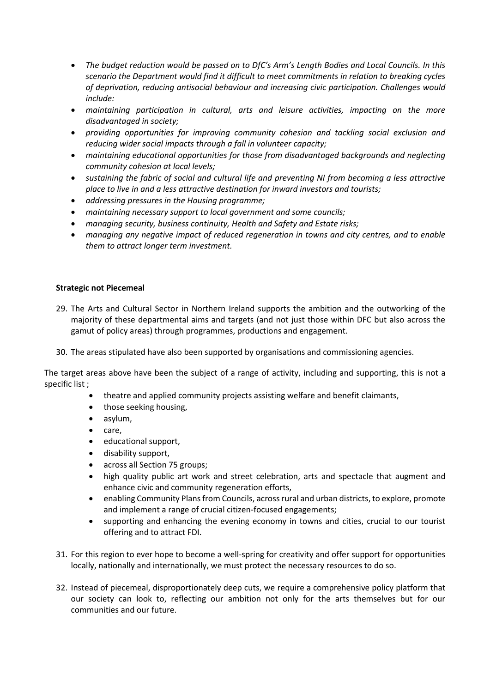- *The budget reduction would be passed on to DfC's Arm's Length Bodies and Local Councils. In this scenario the Department would find it difficult to meet commitments in relation to breaking cycles of deprivation, reducing antisocial behaviour and increasing civic participation. Challenges would include:*
- *maintaining participation in cultural, arts and leisure activities, impacting on the more disadvantaged in society;*
- *providing opportunities for improving community cohesion and tackling social exclusion and reducing wider social impacts through a fall in volunteer capacity;*
- *maintaining educational opportunities for those from disadvantaged backgrounds and neglecting community cohesion at local levels;*
- *sustaining the fabric of social and cultural life and preventing NI from becoming a less attractive place to live in and a less attractive destination for inward investors and tourists;*
- *addressing pressures in the Housing programme;*
- *maintaining necessary support to local government and some councils;*
- *managing security, business continuity, Health and Safety and Estate risks;*
- *managing any negative impact of reduced regeneration in towns and city centres, and to enable them to attract longer term investment.*

#### **Strategic not Piecemeal**

- 29. The Arts and Cultural Sector in Northern Ireland supports the ambition and the outworking of the majority of these departmental aims and targets (and not just those within DFC but also across the gamut of policy areas) through programmes, productions and engagement.
- 30. The areas stipulated have also been supported by organisations and commissioning agencies.

The target areas above have been the subject of a range of activity, including and supporting, this is not a specific list ;

- theatre and applied community projects assisting welfare and benefit claimants,
- those seeking housing,
- asylum,
- care,
- educational support,
- disability support,
- across all Section 75 groups;
- high quality public art work and street celebration, arts and spectacle that augment and enhance civic and community regeneration efforts,
- enabling Community Plans from Councils, across rural and urban districts, to explore, promote and implement a range of crucial citizen-focused engagements;
- supporting and enhancing the evening economy in towns and cities, crucial to our tourist offering and to attract FDI.
- 31. For this region to ever hope to become a well-spring for creativity and offer support for opportunities locally, nationally and internationally, we must protect the necessary resources to do so.
- 32. Instead of piecemeal, disproportionately deep cuts, we require a comprehensive policy platform that our society can look to, reflecting our ambition not only for the arts themselves but for our communities and our future.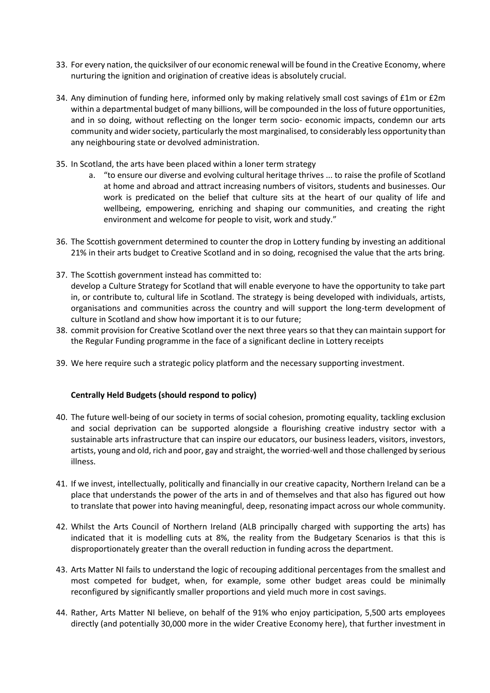- 33. For every nation, the quicksilver of our economic renewal will be found in the Creative Economy, where nurturing the ignition and origination of creative ideas is absolutely crucial.
- 34. Any diminution of funding here, informed only by making relatively small cost savings of £1m or £2m within a departmental budget of many billions, will be compounded in the loss of future opportunities, and in so doing, without reflecting on the longer term socio- economic impacts, condemn our arts community and wider society, particularly the most marginalised, to considerably less opportunity than any neighbouring state or devolved administration.
- 35. In Scotland, the arts have been placed within a loner term strategy
	- a. "to ensure our diverse and evolving cultural heritage thrives ... to raise the profile of Scotland at home and abroad and attract increasing numbers of visitors, students and businesses. Our work is predicated on the belief that culture sits at the heart of our quality of life and wellbeing, empowering, enriching and shaping our communities, and creating the right environment and welcome for people to visit, work and study."
- 36. The Scottish government determined to counter the drop in Lottery funding by investing an additional 21% in their arts budget to Creative Scotland and in so doing, recognised the value that the arts bring.
- 37. The Scottish government instead has committed to: develop a Culture Strategy for Scotland that will enable everyone to have the opportunity to take part in, or contribute to, cultural life in Scotland. The strategy is being developed with individuals, artists, organisations and communities across the country and will support the long-term development of culture in Scotland and show how important it is to our future;
- 38. commit provision for Creative Scotland over the next three years so that they can maintain support for the Regular Funding programme in the face of a significant decline in Lottery receipts
- 39. We here require such a strategic policy platform and the necessary supporting investment.

## **Centrally Held Budgets (should respond to policy)**

- 40. The future well-being of our society in terms of social cohesion, promoting equality, tackling exclusion and social deprivation can be supported alongside a flourishing creative industry sector with a sustainable arts infrastructure that can inspire our educators, our business leaders, visitors, investors, artists, young and old, rich and poor, gay and straight, the worried-well and those challenged by serious illness.
- 41. If we invest, intellectually, politically and financially in our creative capacity, Northern Ireland can be a place that understands the power of the arts in and of themselves and that also has figured out how to translate that power into having meaningful, deep, resonating impact across our whole community.
- 42. Whilst the Arts Council of Northern Ireland (ALB principally charged with supporting the arts) has indicated that it is modelling cuts at 8%, the reality from the Budgetary Scenarios is that this is disproportionately greater than the overall reduction in funding across the department.
- 43. Arts Matter NI fails to understand the logic of recouping additional percentages from the smallest and most competed for budget, when, for example, some other budget areas could be minimally reconfigured by significantly smaller proportions and yield much more in cost savings.
- 44. Rather, Arts Matter NI believe, on behalf of the 91% who enjoy participation, 5,500 arts employees directly (and potentially 30,000 more in the wider Creative Economy here), that further investment in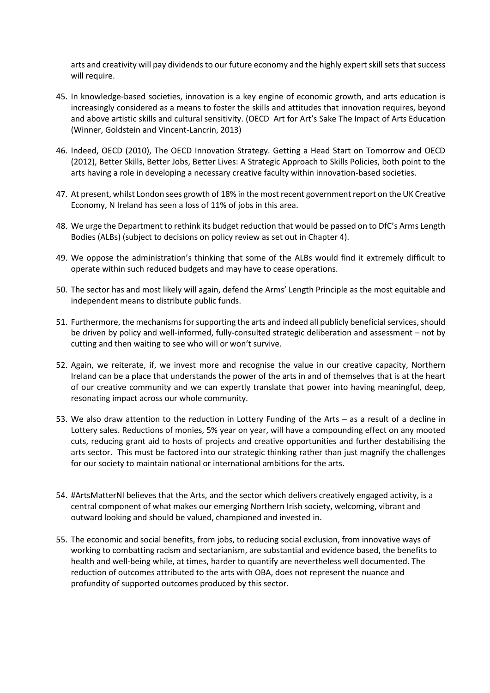arts and creativity will pay dividends to our future economy and the highly expert skill sets that success will require.

- 45. In knowledge-based societies, innovation is a key engine of economic growth, and arts education is increasingly considered as a means to foster the skills and attitudes that innovation requires, beyond and above artistic skills and cultural sensitivity. (OECD Art for Art's Sake The Impact of Arts Education (Winner, Goldstein and Vincent-Lancrin, 2013)
- 46. Indeed, OECD (2010), The OECD Innovation Strategy. Getting a Head Start on Tomorrow and OECD (2012), Better Skills, Better Jobs, Better Lives: A Strategic Approach to Skills Policies, both point to the arts having a role in developing a necessary creative faculty within innovation-based societies.
- 47. At present, whilst London sees growth of 18% in the most recent government report on the UK Creative Economy, N Ireland has seen a loss of 11% of jobs in this area.
- 48. We urge the Department to rethink its budget reduction that would be passed on to DfC's Arms Length Bodies (ALBs) (subject to decisions on policy review as set out in Chapter 4).
- 49. We oppose the administration's thinking that some of the ALBs would find it extremely difficult to operate within such reduced budgets and may have to cease operations.
- 50. The sector has and most likely will again, defend the Arms' Length Principle as the most equitable and independent means to distribute public funds.
- 51. Furthermore, the mechanisms for supporting the arts and indeed all publicly beneficial services, should be driven by policy and well-informed, fully-consulted strategic deliberation and assessment – not by cutting and then waiting to see who will or won't survive.
- 52. Again, we reiterate, if, we invest more and recognise the value in our creative capacity, Northern Ireland can be a place that understands the power of the arts in and of themselves that is at the heart of our creative community and we can expertly translate that power into having meaningful, deep, resonating impact across our whole community.
- 53. We also draw attention to the reduction in Lottery Funding of the Arts as a result of a decline in Lottery sales. Reductions of monies, 5% year on year, will have a compounding effect on any mooted cuts, reducing grant aid to hosts of projects and creative opportunities and further destabilising the arts sector. This must be factored into our strategic thinking rather than just magnify the challenges for our society to maintain national or international ambitions for the arts.
- 54. #ArtsMatterNI believes that the Arts, and the sector which delivers creatively engaged activity, is a central component of what makes our emerging Northern Irish society, welcoming, vibrant and outward looking and should be valued, championed and invested in.
- 55. The economic and social benefits, from jobs, to reducing social exclusion, from innovative ways of working to combatting racism and sectarianism, are substantial and evidence based, the benefits to health and well-being while, at times, harder to quantify are nevertheless well documented. The reduction of outcomes attributed to the arts with OBA, does not represent the nuance and profundity of supported outcomes produced by this sector.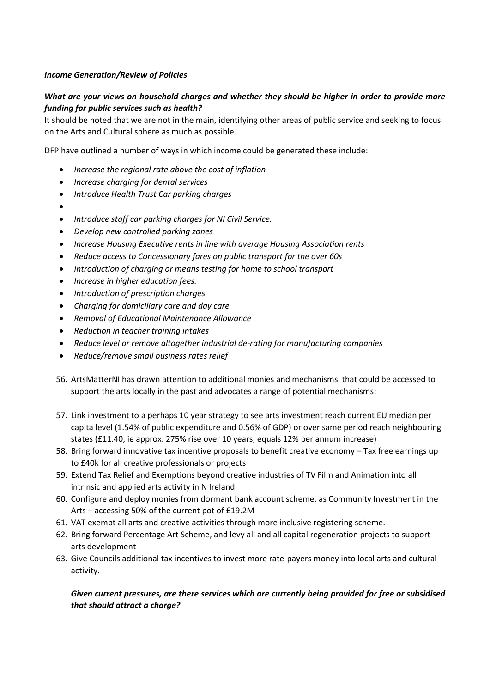## *Income Generation/Review of Policies*

## *What are your views on household charges and whether they should be higher in order to provide more funding for public services such as health?*

It should be noted that we are not in the main, identifying other areas of public service and seeking to focus on the Arts and Cultural sphere as much as possible.

DFP have outlined a number of ways in which income could be generated these include:

- *Increase the regional rate above the cost of inflation*
- *Increase charging for dental services*
- *Introduce Health Trust Car parking charges*
- $\bullet$
- *Introduce staff car parking charges for NI Civil Service.*
- *Develop new controlled parking zones*
- *Increase Housing Executive rents in line with average Housing Association rents*
- *Reduce access to Concessionary fares on public transport for the over 60s*
- *Introduction of charging or means testing for home to school transport*
- *Increase in higher education fees.*
- *Introduction of prescription charges*
- *Charging for domiciliary care and day care*
- *Removal of Educational Maintenance Allowance*
- *Reduction in teacher training intakes*
- *Reduce level or remove altogether industrial de-rating for manufacturing companies*
- *Reduce/remove small business rates relief*
- 56. ArtsMatterNI has drawn attention to additional monies and mechanisms that could be accessed to support the arts locally in the past and advocates a range of potential mechanisms:
- 57. Link investment to a perhaps 10 year strategy to see arts investment reach current EU median per capita level (1.54% of public expenditure and 0.56% of GDP) or over same period reach neighbouring states (£11.40, ie approx. 275% rise over 10 years, equals 12% per annum increase)
- 58. Bring forward innovative tax incentive proposals to benefit creative economy Tax free earnings up to £40k for all creative professionals or projects
- 59. Extend Tax Relief and Exemptions beyond creative industries of TV Film and Animation into all intrinsic and applied arts activity in N Ireland
- 60. Configure and deploy monies from dormant bank account scheme, as Community Investment in the Arts – accessing 50% of the current pot of £19.2M
- 61. VAT exempt all arts and creative activities through more inclusive registering scheme.
- 62. Bring forward Percentage Art Scheme, and levy all and all capital regeneration projects to support arts development
- 63. Give Councils additional tax incentives to invest more rate-payers money into local arts and cultural activity.

## *Given current pressures, are there services which are currently being provided for free or subsidised that should attract a charge?*